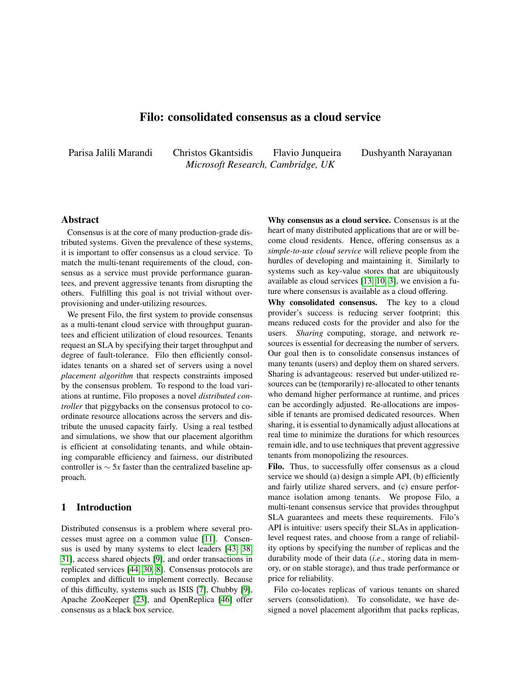# Filo: consolidated consensus as a cloud service

<span id="page-0-0"></span>Parisa Jalili Marandi Christos Gkantsidis Flavio Junqueira Dushyanth Narayanan *Microsoft Research, Cambridge, UK*

### Abstract

Consensus is at the core of many production-grade distributed systems. Given the prevalence of these systems, it is important to offer consensus as a cloud service. To match the multi-tenant requirements of the cloud, consensus as a service must provide performance guarantees, and prevent aggressive tenants from disrupting the others. Fulfilling this goal is not trivial without overprovisioning and under-utilizing resources.

We present Filo, the first system to provide consensus as a multi-tenant cloud service with throughput guarantees and efficient utilization of cloud resources. Tenants request an SLA by specifying their target throughput and degree of fault-tolerance. Filo then efficiently consolidates tenants on a shared set of servers using a novel *placement algorithm* that respects constraints imposed by the consensus problem. To respond to the load variations at runtime, Filo proposes a novel *distributed controller* that piggybacks on the consensus protocol to coordinate resource allocations across the servers and distribute the unused capacity fairly. Using a real testbed and simulations, we show that our placement algorithm is efficient at consolidating tenants, and while obtaining comparable efficiency and fairness, our distributed controller is ∼ 5*x* faster than the centralized baseline approach.

# 1 Introduction

Distributed consensus is a problem where several processes must agree on a common value [\[11\]](#page-11-0). Consensus is used by many systems to elect leaders [\[43,](#page-12-0) [38,](#page-12-1) [31\]](#page-12-2), access shared objects [\[9\]](#page-11-1), and order transactions in replicated services [\[44,](#page-12-3) [30,](#page-12-4) [8\]](#page-11-2). Consensus protocols are complex and difficult to implement correctly. Because of this difficulty, systems such as ISIS [\[7\]](#page-11-3), Chubby [\[9\]](#page-11-1), Apache ZooKeeper [\[23\]](#page-11-4), and OpenReplica [\[46\]](#page-12-5) offer consensus as a black box service.

Why consensus as a cloud service. Consensus is at the heart of many distributed applications that are or will become cloud residents. Hence, offering consensus as a *simple-to-use cloud service* will relieve people from the hurdles of developing and maintaining it. Similarly to systems such as key-value stores that are ubiquitously available as cloud services [\[13,](#page-11-5) [10,](#page-11-6) [3\]](#page-11-7), we envision a future where consensus is available as a cloud offering.

Why consolidated consensus. The key to a cloud provider's success is reducing server footprint; this means reduced costs for the provider and also for the users. *Sharing* computing, storage, and network resources is essential for decreasing the number of servers. Our goal then is to consolidate consensus instances of many tenants (users) and deploy them on shared servers. Sharing is advantageous: reserved but under-utilized resources can be (temporarily) re-allocated to other tenants who demand higher performance at runtime, and prices can be accordingly adjusted. Re-allocations are impossible if tenants are promised dedicated resources. When sharing, it is essential to dynamically adjust allocations at real time to minimize the durations for which resources remain idle, and to use techniques that prevent aggressive tenants from monopolizing the resources.

Filo. Thus, to successfully offer consensus as a cloud service we should (a) design a simple API, (b) efficiently and fairly utilize shared servers, and (c) ensure performance isolation among tenants. We propose Filo, a multi-tenant consensus service that provides throughput SLA guarantees and meets these requirements. Filo's API is intuitive: users specify their SLAs in applicationlevel request rates, and choose from a range of reliability options by specifying the number of replicas and the durability mode of their data (*i*.*e*., storing data in memory, or on stable storage), and thus trade performance or price for reliability.

Filo co-locates replicas of various tenants on shared servers (consolidation). To consolidate, we have designed a novel placement algorithm that packs replicas,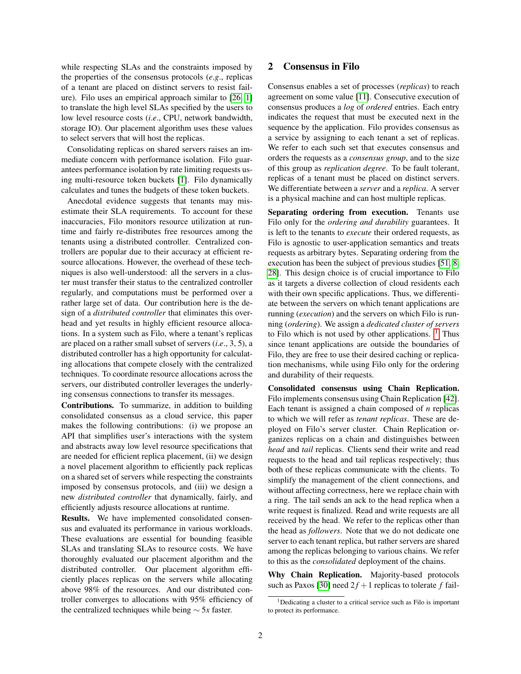while respecting SLAs and the constraints imposed by the properties of the consensus protocols (*e*.*g*., replicas of a tenant are placed on distinct servers to resist failure). Filo uses an empirical approach similar to [\[26,](#page-12-6) [1\]](#page-11-8) to translate the high level SLAs specified by the users to low level resource costs (*i*.*e*., CPU, network bandwidth, storage IO). Our placement algorithm uses these values to select servers that will host the replicas.

Consolidating replicas on shared servers raises an immediate concern with performance isolation. Filo guarantees performance isolation by rate limiting requests using multi-resource token buckets [\[1\]](#page-11-8). Filo dynamically calculates and tunes the budgets of these token buckets.

Anecdotal evidence suggests that tenants may misestimate their SLA requirements. To account for these inaccuracies, Filo monitors resource utilization at runtime and fairly re-distributes free resources among the tenants using a distributed controller. Centralized controllers are popular due to their accuracy at efficient resource allocations. However, the overhead of these techniques is also well-understood: all the servers in a cluster must transfer their status to the centralized controller regularly, and computations must be performed over a rather large set of data. Our contribution here is the design of a *distributed controller* that eliminates this overhead and yet results in highly efficient resource allocations. In a system such as Filo, where a tenant's replicas are placed on a rather small subset of servers (*i*.*e*., 3, 5), a distributed controller has a high opportunity for calculating allocations that compete closely with the centralized techniques. To coordinate resource allocations across the servers, our distributed controller leverages the underlying consensus connections to transfer its messages.

Contributions. To summarize, in addition to building consolidated consensus as a cloud service, this paper makes the following contributions: (i) we propose an API that simplifies user's interactions with the system and abstracts away low level resource specifications that are needed for efficient replica placement, (ii) we design a novel placement algorithm to efficiently pack replicas on a shared set of servers while respecting the constraints imposed by consensus protocols, and (iii) we design a new *distributed controller* that dynamically, fairly, and efficiently adjusts resource allocations at runtime.

Results. We have implemented consolidated consensus and evaluated its performance in various workloads. These evaluations are essential for bounding feasible SLAs and translating SLAs to resource costs. We have thoroughly evaluated our placement algorithm and the distributed controller. Our placement algorithm efficiently places replicas on the servers while allocating above 98% of the resources. And our distributed controller converges to allocations with 95% efficiency of the centralized techniques while being ∼ 5*x* faster.

# <span id="page-1-0"></span>2 Consensus in Filo

Consensus enables a set of processes (*replicas*) to reach agreement on some value [\[11\]](#page-11-0). Consecutive execution of consensus produces a *log* of *ordered* entries. Each entry indicates the request that must be executed next in the sequence by the application. Filo provides consensus as a service by assigning to each tenant a set of replicas. We refer to each such set that executes consensus and orders the requests as a *consensus group*, and to the size of this group as *replication degree*. To be fault tolerant, replicas of a tenant must be placed on distinct servers. We differentiate between a *server* and a *replica*. A server is a physical machine and can host multiple replicas.

Separating ordering from execution. Tenants use Filo only for the *ordering and durability* guarantees. It is left to the tenants to *execute* their ordered requests, as Filo is agnostic to user-application semantics and treats requests as arbitrary bytes. Separating ordering from the execution has been the subject of previous studies [\[51,](#page-12-7) [8,](#page-11-2) [28\]](#page-12-8). This design choice is of crucial importance to Filo as it targets a diverse collection of cloud residents each with their own specific applications. Thus, we differentiate between the servers on which tenant applications are running (*execution*) and the servers on which Filo is running (*ordering*). We assign a *dedicated cluster of servers* to Filo which is not used by other applications.  $\frac{1}{1}$  $\frac{1}{1}$  $\frac{1}{1}$  Thus since tenant applications are outside the boundaries of Filo, they are free to use their desired caching or replication mechanisms, while using Filo only for the ordering and durability of their requests.

Consolidated consensus using Chain Replication. Filo implements consensus using Chain Replication [\[42\]](#page-12-9). Each tenant is assigned a chain composed of *n* replicas to which we will refer as *tenant replicas*. These are deployed on Filo's server cluster. Chain Replication organizes replicas on a chain and distinguishes between *head* and *tail* replicas. Clients send their write and read requests to the head and tail replicas respectively; thus both of these replicas communicate with the clients. To simplify the management of the client connections, and without affecting correctness, here we replace chain with a ring. The tail sends an ack to the head replica when a write request is finalized. Read and write requests are all received by the head. We refer to the replicas other than the head as *followers*. Note that we do not dedicate one server to each tenant replica, but rather servers are shared among the replicas belonging to various chains. We refer to this as the *consolidated* deployment of the chains.

Why Chain Replication. Majority-based protocols such as Paxos [\[30\]](#page-12-4) need  $2f + 1$  replicas to tolerate *f* fail-

<sup>1</sup>Dedicating a cluster to a critical service such as Filo is important to protect its performance.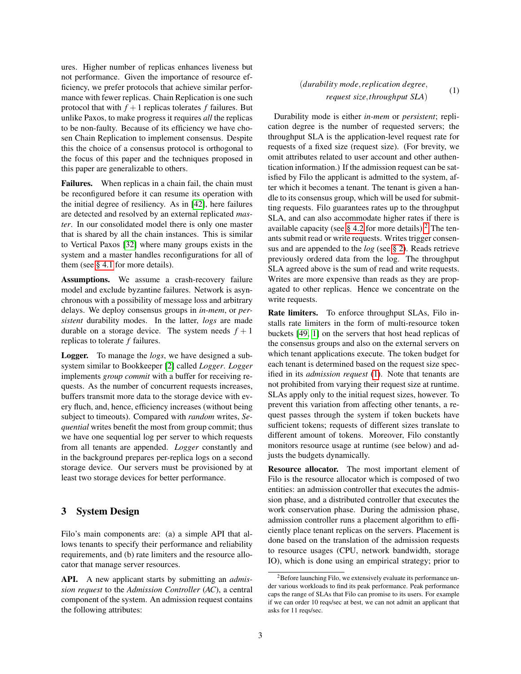ures. Higher number of replicas enhances liveness but not performance. Given the importance of resource efficiency, we prefer protocols that achieve similar performance with fewer replicas. Chain Replication is one such protocol that with  $f + 1$  replicas tolerates  $f$  failures. But unlike Paxos, to make progress it requires *all* the replicas to be non-faulty. Because of its efficiency we have chosen Chain Replication to implement consensus. Despite this the choice of a consensus protocol is orthogonal to the focus of this paper and the techniques proposed in this paper are generalizable to others.

Failures. When replicas in a chain fail, the chain must be reconfigured before it can resume its operation with the initial degree of resiliency. As in [\[42\]](#page-12-9), here failures are detected and resolved by an external replicated *master*. In our consolidated model there is only one master that is shared by all the chain instances. This is similar to Vertical Paxos [\[32\]](#page-12-10) where many groups exists in the system and a master handles reconfigurations for all of them (see [§ 4.1](#page-3-0) for more details).

Assumptions. We assume a crash-recovery failure model and exclude byzantine failures. Network is asynchronous with a possibility of message loss and arbitrary delays. We deploy consensus groups in *in-mem*, or *persistent* durability modes. In the latter, *logs* are made durable on a storage device. The system needs  $f + 1$ replicas to tolerate *f* failures.

Logger. To manage the *logs*, we have designed a subsystem similar to Bookkeeper [\[2\]](#page-11-9) called *Logger*. *Logger* implements *group commit* with a buffer for receiving requests. As the number of concurrent requests increases, buffers transmit more data to the storage device with every fluch, and, hence, efficiency increases (without being subject to timeouts). Compared with *random* writes, *Sequential* writes benefit the most from group commit; thus we have one sequential log per server to which requests from all tenants are appended. *Logger* constantly and in the background prepares per-replica logs on a second storage device. Our servers must be provisioned by at least two storage devices for better performance.

# <span id="page-2-1"></span>3 System Design

Filo's main components are: (a) a simple API that allows tenants to specify their performance and reliability requirements, and (b) rate limiters and the resource allocator that manage server resources.

API. A new applicant starts by submitting an *admission request* to the *Admission Controller* (*AC*), a central component of the system. An admission request contains the following attributes:

#### (*durability mode*,*replication degree*, *request size*,*throughput SLA*) (1)

<span id="page-2-0"></span>Durability mode is either *in-mem* or *persistent*; replication degree is the number of requested servers; the throughput SLA is the application-level request rate for requests of a fixed size (request size). (For brevity, we omit attributes related to user account and other authentication information.) If the admission request can be satisfied by Filo the applicant is admitted to the system, after which it becomes a tenant. The tenant is given a handle to its consensus group, which will be used for submitting requests. Filo guarantees rates up to the throughput SLA, and can also accommodate higher rates if there is available capacity (see  $\S$  4.[2](#page-0-0) for more details).<sup>2</sup> The tenants submit read or write requests. Writes trigger consensus and are appended to the *log* (see [§ 2\)](#page-1-0). Reads retrieve previously ordered data from the log. The throughput SLA agreed above is the sum of read and write requests. Writes are more expensive than reads as they are propagated to other replicas. Hence we concentrate on the write requests.

Rate limiters. To enforce throughput SLAs, Filo installs rate limiters in the form of multi-resource token buckets [\[49,](#page-12-11) [1\]](#page-11-8) on the servers that host head replicas of the consensus groups and also on the external servers on which tenant applications execute. The token budget for each tenant is determined based on the request size specified in its *admission request* [\(1\)](#page-2-0). Note that tenants are not prohibited from varying their request size at runtime. SLAs apply only to the initial request sizes, however. To prevent this variation from affecting other tenants, a request passes through the system if token buckets have sufficient tokens; requests of different sizes translate to different amount of tokens. Moreover, Filo constantly monitors resource usage at runtime (see below) and adjusts the budgets dynamically.

Resource allocator. The most important element of Filo is the resource allocator which is composed of two entities: an admission controller that executes the admission phase, and a distributed controller that executes the work conservation phase. During the admission phase, admission controller runs a placement algorithm to efficiently place tenant replicas on the servers. Placement is done based on the translation of the admission requests to resource usages (CPU, network bandwidth, storage IO), which is done using an empirical strategy; prior to

<sup>2</sup>Before launching Filo, we extensively evaluate its performance under various workloads to find its peak performance. Peak performance caps the range of SLAs that Filo can promise to its users. For example if we can order 10 reqs/sec at best, we can not admit an applicant that asks for 11 reqs/sec.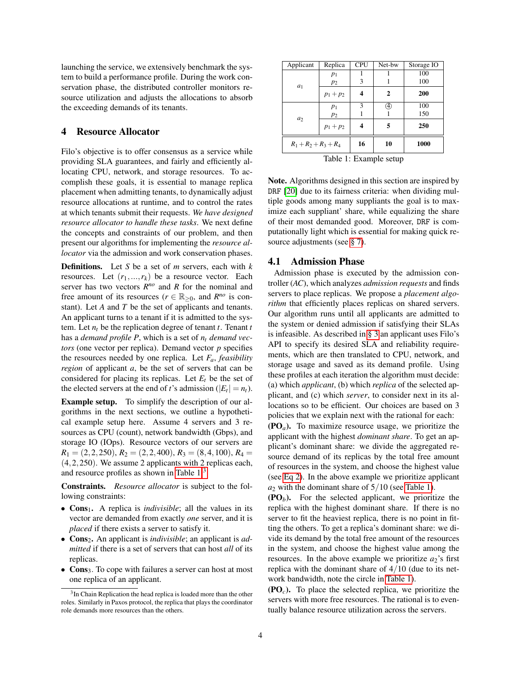launching the service, we extensively benchmark the system to build a performance profile. During the work conservation phase, the distributed controller monitors resource utilization and adjusts the allocations to absorb the exceeding demands of its tenants.

### 4 Resource Allocator

Filo's objective is to offer consensus as a service while providing SLA guarantees, and fairly and efficiently allocating CPU, network, and storage resources. To accomplish these goals, it is essential to manage replica placement when admitting tenants, to dynamically adjust resource allocations at runtime, and to control the rates at which tenants submit their requests. *We have designed resource allocator to handle these tasks*. We next define the concepts and constraints of our problem, and then present our algorithms for implementing the *resource allocator* via the admission and work conservation phases.

Definitions. Let *S* be a set of *m* servers, each with *k* resources. Let  $(r_1,...,r_k)$  be a resource vector. Each server has two vectors  $R^{no}$  and  $R$  for the nominal and free amount of its resources ( $r \in \mathbb{R}_{\geq 0}$ , and  $R^{n\circ}$  is constant). Let *A* and *T* be the set of applicants and tenants. An applicant turns to a tenant if it is admitted to the system. Let  $n_t$  be the replication degree of tenant  $t$ . Tenant  $t$ has a *demand profile P*, which is a set of *n<sup>t</sup> demand vectors* (one vector per replica). Demand vector *p* specifies the resources needed by one replica. Let *Fa*, *feasibility region* of applicant *a*, be the set of servers that can be considered for placing its replicas. Let  $E_t$  be the set of the elected servers at the end of *t*'s admission ( $|E_t| = n_t$ ).

Example setup. To simplify the description of our algorithms in the next sections, we outline a hypothetical example setup here. Assume 4 servers and 3 resources as CPU (count), network bandwidth (Gbps), and storage IO (IOps). Resource vectors of our servers are  $R_1 = (2, 2, 250), R_2 = (2, 2, 400), R_3 = (8, 4, 100), R_4 =$ (4,2,250). We assume 2 applicants with 2 replicas each, and resource profiles as shown in [Table 1.](#page-3-1)[3](#page-0-0)

Constraints. *Resource allocator* is subject to the following constraints:

- Cons<sub>1</sub>. A replica is *indivisible*; all the values in its vector are demanded from exactly *one* server, and it is *placed* if there exists a server to satisfy it.
- Cons<sub>2</sub>. An applicant is *indivisible*; an applicant is *admitted* if there is a set of servers that can host *all* of its replicas.
- Cons<sub>3</sub>. To cope with failures a server can host at most one replica of an applicant.

<span id="page-3-1"></span>

| Applicant               | Replica     | <b>CPU</b> | Net-bw | Storage IO |
|-------------------------|-------------|------------|--------|------------|
| $a_1$                   | $p_1$       |            |        | 100        |
|                         | $p_2$       | 3          |        | 100        |
|                         | $p_1 + p_2$ |            | 2      | 200        |
| $a_2$                   | $p_1$       | 3          | A)     | 100        |
|                         | $p_2$       |            |        | 150        |
|                         | $p_1 + p_2$ |            | 5      | 250        |
| $R_1 + R_2 + R_3 + R_4$ |             | 16         | 10     | 1000       |
| Table 1: Example setup  |             |            |        |            |

Note. Algorithms designed in this section are inspired by DRF [\[20\]](#page-11-10) due to its fairness criteria: when dividing multiple goods among many suppliants the goal is to maximize each suppliant' share, while equalizing the share of their most demanded good. Moreover, DRF is computationally light which is essential for making quick re-source adjustments (see [§ 7\)](#page-10-0).

### <span id="page-3-0"></span>4.1 Admission Phase

Admission phase is executed by the admission controller (*AC*), which analyzes *admission requests* and finds servers to place replicas. We propose a *placement algorithm* that efficiently places replicas on shared servers. Our algorithm runs until all applicants are admitted to the system or denied admission if satisfying their SLAs is infeasible. As described in [§ 3](#page-2-1) an applicant uses Filo's API to specify its desired SLA and reliability requirements, which are then translated to CPU, network, and storage usage and saved as its demand profile. Using these profiles at each iteration the algorithm must decide: (a) which *applicant*, (b) which *replica* of the selected applicant, and (c) which *server*, to consider next in its allocations so to be efficient. Our choices are based on 3 policies that we explain next with the rational for each:

(PO*a*). To maximize resource usage, we prioritize the applicant with the highest *dominant share*. To get an applicant's dominant share: we divide the aggregated resource demand of its replicas by the total free amount of resources in the system, and choose the highest value (see [Eq 2\)](#page-4-1). In the above example we prioritize applicant  $a_2$  with the dominant share of  $5/10$  (see [Table 1\)](#page-3-1).

 $(PO<sub>b</sub>)$ . For the selected applicant, we prioritize the replica with the highest dominant share. If there is no server to fit the heaviest replica, there is no point in fitting the others. To get a replica's dominant share: we divide its demand by the total free amount of the resources in the system, and choose the highest value among the resources. In the above example we prioritize  $a_2$ 's first replica with the dominant share of  $4/10$  (due to its network bandwidth, note the circle in [Table 1\)](#page-3-1).

(PO*c*). To place the selected replica, we prioritize the servers with more free resources. The rational is to eventually balance resource utilization across the servers.

<sup>&</sup>lt;sup>3</sup>In Chain Replication the head replica is loaded more than the other roles. Similarly in Paxos protocol, the replica that plays the coordinator role demands more resources than the others.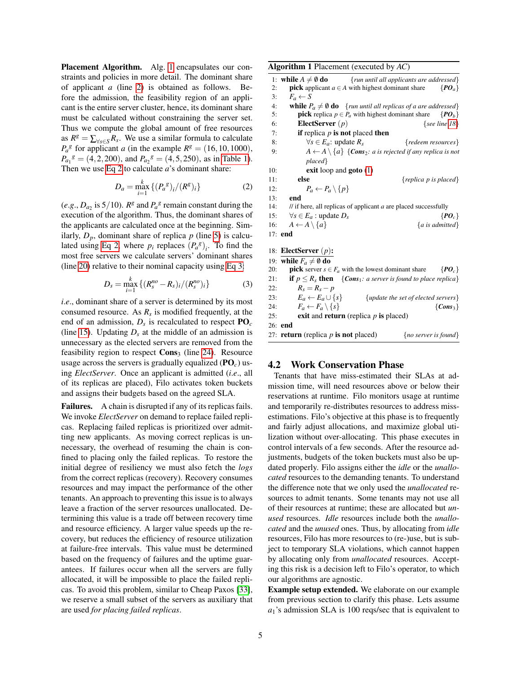Placement Algorithm. Alg. [1](#page-4-2) encapsulates our constraints and policies in more detail. The dominant share of applicant *a* (line [2\)](#page-4-3) is obtained as follows. Before the admission, the feasibility region of an applicant is the entire server cluster, hence, its dominant share must be calculated without constraining the server set. Thus we compute the global amount of free resources as  $R^g = \sum_{\forall s \in S} R_s$ . We use a similar formula to calculate  $P_a^g$  for applicant *a* (in the example  $R^g = (16, 10, 1000)$ ,  $P_{a_1}{}^g = (4, 2, 200)$ , and  $P_{a_2}{}^g = (4, 5, 250)$ , as in [Table 1\)](#page-3-1). Then we use [Eq 2](#page-4-1) to calculate *a*'s dominant share:

<span id="page-4-1"></span>
$$
D_a = \max_{i=1}^k \{ (P_a^{\,s})_i / (R^s)_i \}
$$
 (2)

(*e.g.*,  $D_{a_2}$  is 5/10).  $R^g$  and  $P_a^g$  remain constant during the execution of the algorithm. Thus, the dominant shares of the applicants are calculated once at the beginning. Similarly,  $D_p$ , dominant share of replica  $p$  (line [5\)](#page-4-4) is calcu-lated using [Eq 2,](#page-4-1) where  $p_i$  replaces  $(P_a^g)_i$ . To find the most free servers we calculate servers' dominant shares (line [20\)](#page-4-5) relative to their nominal capacity using [Eq 3:](#page-4-6)

<span id="page-4-6"></span>
$$
D_s = \max_{i=1}^k \left\{ (R_s^{no} - R_s)_i / (R_s^{no})_i \right\} \tag{3}
$$

*i*.*e*., dominant share of a server is determined by its most consumed resource. As  $R_s$  is modified frequently, at the end of an admission, *D<sup>s</sup>* is recalculated to respect PO*<sup>c</sup>* (line [15\)](#page-4-7). Updating  $D<sub>s</sub>$  at the middle of an admission is unnecessary as the elected servers are removed from the feasibility region to respect  $Cons<sub>3</sub>$  (line [24\)](#page-4-8). Resource usage across the servers is gradually equalized  $(\mathbf{P}\mathbf{O}_c)$  using *ElectServer*. Once an applicant is admitted (*i*.*e*., all of its replicas are placed), Filo activates token buckets and assigns their budgets based on the agreed SLA.

Failures. A chain is disrupted if any of its replicas fails. We invoke *ElectServer* on demand to replace failed replicas. Replacing failed replicas is prioritized over admitting new applicants. As moving correct replicas is unnecessary, the overhead of resuming the chain is confined to placing only the failed replicas. To restore the initial degree of resiliency we must also fetch the *logs* from the correct replicas (recovery). Recovery consumes resources and may impact the performance of the other tenants. An approach to preventing this issue is to always leave a fraction of the server resources unallocated. Determining this value is a trade off between recovery time and resource efficiency. A larger value speeds up the recovery, but reduces the efficiency of resource utilization at failure-free intervals. This value must be determined based on the frequency of failures and the uptime guarantees. If failures occur when all the servers are fully allocated, it will be impossible to place the failed replicas. To avoid this problem, similar to Cheap Paxos [\[33\]](#page-12-12), we reserve a small subset of the servers as auxiliary that are used *for placing failed replicas*.

<span id="page-4-16"></span><span id="page-4-15"></span><span id="page-4-14"></span><span id="page-4-13"></span><span id="page-4-12"></span><span id="page-4-11"></span><span id="page-4-10"></span><span id="page-4-4"></span><span id="page-4-3"></span><span id="page-4-2"></span>

| Algorithm 1 Placement (executed by AC)                                                                             |
|--------------------------------------------------------------------------------------------------------------------|
| 1: while $A \neq \emptyset$ do<br>{run until all applicants are addressed}                                         |
| <b>pick</b> applicant $a \in A$ with highest dominant share<br>$\{P O_a\}$<br>2:                                   |
| 3:<br>$F_a \leftarrow S$                                                                                           |
| <b>while</b> $P_a \neq \emptyset$ <b>do</b> { <i>run until all replicas of a are addressed</i> }<br>4:             |
| 5:<br><b>pick</b> replica $p \in P_a$ with highest dominant share<br>$\{P O_b\}$                                   |
| ElectServer $(p)$<br>{see line $18$ }<br>6:                                                                        |
| if replica $p$ is not placed then<br>7:                                                                            |
| $\forall s \in E_a$ : update $R_s$<br>{redeem resources}<br>8:                                                     |
| $A \leftarrow A \setminus \{a\}$ {Cons <sub>2</sub> : a is rejected if any replica is not<br>9:                    |
| $placed\}$                                                                                                         |
| <b>exit</b> loop and <b>goto</b> $(1)$<br>10:                                                                      |
| else<br>11:<br>{replica p is placed}                                                                               |
| $P_a \leftarrow P_a \setminus \{p\}$<br>12:                                                                        |
| 13:<br>end                                                                                                         |
| 14:<br>$\frac{1}{\pi}$ if here, all replicas of applicant <i>a</i> are placed successfully                         |
| $\forall s \in E_a$ : update $D_s$<br>15:<br>$\{P O_c\}$                                                           |
| $A \leftarrow A \setminus \{a\}$<br>${a}$ is admitted}<br>16:                                                      |
| $17:$ end                                                                                                          |
| 18: ElectServer $(p)$ :                                                                                            |
| 19: while $F_a \neq \emptyset$ do                                                                                  |
| 20:<br><b>pick</b> server $s \in F_a$ with the lowest dominant share<br>$\{P O_c\}$                                |
| <b>if</b> $p \leq R_s$ <b>then</b> { <i>Cons</i> <sub>1</sub> <i>: a server is found to place replica</i> }<br>21: |
| $R_s = R_s - p$<br>22:                                                                                             |
| $E_a \leftarrow E_a \cup \{s\}$<br>{update the set of elected servers}<br>23:                                      |
| $F_a \leftarrow F_a \setminus \{s\}$<br>$\{Cons_3\}$<br>24:                                                        |
| exit and return (replica $p$ is placed)<br>25:                                                                     |
| 26: end                                                                                                            |

# 4.2 Work Conservation Phase

Tenants that have miss-estimated their SLAs at admission time, will need resources above or below their reservations at runtime. Filo monitors usage at runtime and temporarily re-distributes resources to address missestimations. Filo's objective at this phase is to frequently and fairly adjust allocations, and maximize global utilization without over-allocating. This phase executes in control intervals of a few seconds. After the resource adjustments, budgets of the token buckets must also be updated properly. Filo assigns either the *idle* or the *unallocated* resources to the demanding tenants. To understand the difference note that we only used the *unallocated* resources to admit tenants. Some tenants may not use all of their resources at runtime; these are allocated but *unused* resources. *Idle* resources include both the *unallocated* and the *unused* ones. Thus, by allocating from *idle* resources, Filo has more resources to (re-)use, but is subject to temporary SLA violations, which cannot happen by allocating only from *unallocated* resources. Accepting this risk is a decision left to Filo's operator, to which our algorithms are agnostic.

<span id="page-4-9"></span><span id="page-4-8"></span><span id="page-4-7"></span><span id="page-4-5"></span>27: return (replica *p* is not placed) {*no server is found*}

<span id="page-4-0"></span>Example setup extended. We elaborate on our example from previous section to clarify this phase. Lets assume *a*1's admission SLA is 100 reqs/sec that is equivalent to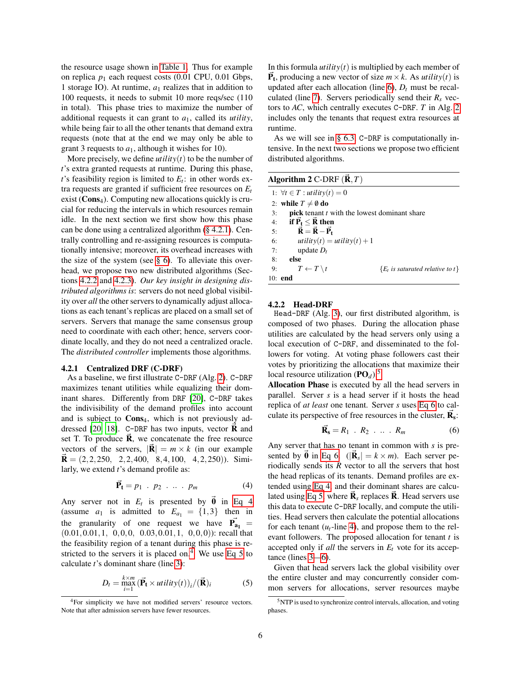the resource usage shown in [Table 1.](#page-3-1) Thus for example on replica  $p_1$  each request costs (0.01 CPU, 0.01 Gbps, 1 storage IO). At runtime, *a*<sup>1</sup> realizes that in addition to 100 requests, it needs to submit 10 more reqs/sec (110 in total). This phase tries to maximize the number of additional requests it can grant to *a*1, called its *utility*, while being fair to all the other tenants that demand extra requests (note that at the end we may only be able to grant 3 requests to  $a_1$ , although it wishes for 10).

More precisely, we define  $utility(t)$  to be the number of *t*'s extra granted requests at runtime. During this phase, *t*'s feasibility region is limited to *E<sup>t</sup>* : in other words extra requests are granted if sufficient free resources on *E<sup>t</sup>* exist ( $\text{Cons}_4$ ). Computing new allocations quickly is crucial for reducing the intervals in which resources remain idle. In the next section we first show how this phase can be done using a centralized algorithm [\(§ 4.2.1\)](#page-5-0). Centrally controlling and re-assigning resources is computationally intensive; moreover, its overhead increases with the size of the system (see  $\S$  6). To alleviate this overhead, we propose two new distributed algorithms (Sections [4.2.2](#page-5-1) and [4.2.3\)](#page-6-0). *Our key insight in designing distributed algorithms is*: servers do not need global visibility over *all* the other servers to dynamically adjust allocations as each tenant's replicas are placed on a small set of servers. Servers that manage the same consensus group need to coordinate with each other; hence, servers coordinate locally, and they do not need a centralized oracle. The *distributed controller* implements those algorithms.

#### <span id="page-5-0"></span>4.2.1 Centralized DRF (C-DRF)

As a baseline, we first illustrate C-DRF (Alg. [2\)](#page-5-2). C-DRF maximizes tenant utilities while equalizing their dominant shares. Differently from DRF [\[20\]](#page-11-10), C-DRF takes the indivisibility of the demand profiles into account and is subject to  $Cons<sub>4</sub>$ , which is not previously ad-dressed [\[20,](#page-11-10) [18\]](#page-11-11). C-DRF has two inputs, vector  **and** set T. To produce  $\vec{R}$ , we concatenate the free resource vectors of the servers,  $|\mathbf{R}| = m \times k$  (in our example  $\mathbf{R} = (2,2,250, 2,2,400, 8,4,100, 4,2,250)$ . Similarly, we extend *t*'s demand profile as:

<span id="page-5-3"></span>
$$
\vec{\mathbf{P}}_{t} = p_1 \cdot p_2 \cdot \dots \cdot p_m \tag{4}
$$

Any server not in  $E_t$  is presented by  $\vec{0}$  in [Eq 4](#page-5-3) (assume  $a_1$  is admitted to  $E_{a_1} = \{1,3\}$  then in the granularity of one request we have  $\vec{P}_{a_1}$  =  $(0.01, 0.01, 1, 0, 0, 0, 0.03, 0.01, 1, 0, 0, 0))$ : recall that the feasibility region of a tenant during this phase is re-stricted to the servers it is placed on.<sup>[4](#page-0-0)</sup> We use [Eq 5](#page-5-4) to calculate *t*'s dominant share (line [3\)](#page-4-11):

<span id="page-5-4"></span>
$$
D_t = \max_{i=1}^{k \times m} (\vec{P}_t \times utility(t))_i / (\vec{R})_i
$$
 (5)

In this formula  $utility(t)$  is multiplied by each member of  $\vec{P}_t$ , producing a new vector of size  $m \times k$ . As *utility*(*t*) is updated after each allocation (line  $6$ ),  $D_t$  must be recalculated (line [7\)](#page-4-13). Servers periodically send their *R<sup>s</sup>* vectors to *AC*, which centrally executes C-DRF. *T* in Alg. [2](#page-5-2) includes only the tenants that request extra resources at runtime.

As we will see in [§ 6.3,](#page-9-0) C-DRF is computationally intensive. In the next two sections we propose two efficient distributed algorithms.

<span id="page-5-2"></span>

| Algorithm 2 C-DRF $(\vec{R}, T)$ |                                                                  |                                                            |  |  |
|----------------------------------|------------------------------------------------------------------|------------------------------------------------------------|--|--|
|                                  | 1: $\forall t \in T$ : utility(t) = 0                            |                                                            |  |  |
|                                  | 2: while $T \neq \emptyset$ do                                   |                                                            |  |  |
| 3:                               |                                                                  | <b>pick</b> tenant <i>t</i> with the lowest dominant share |  |  |
| 4:                               | if $\vec{P}_t \leq \vec{R}$ then                                 |                                                            |  |  |
|                                  | $\vec{\mathbf{R}} = \vec{\mathbf{R}} - \vec{\mathbf{P}}_t$<br>5: |                                                            |  |  |
| 6:                               |                                                                  | utility(t) = utility(t) + 1                                |  |  |
| 7:                               | update $D_t$                                                     |                                                            |  |  |
| 8:                               | else                                                             |                                                            |  |  |
| 9:                               | $T \leftarrow T \setminus t$                                     | ${E_t}$ is saturated relative to t $\}$                    |  |  |
|                                  | $10:$ end                                                        |                                                            |  |  |

#### <span id="page-5-1"></span>4.2.2 Head-DRF

Head-DRF (Alg. [3\)](#page-6-1), our first distributed algorithm, is composed of two phases. During the allocation phase utilities are calculated by the head servers only using a local execution of C-DRF, and disseminated to the followers for voting. At voting phase followers cast their votes by prioritizing the allocations that maximize their local resource utilization  $(PO<sub>d</sub>)$ .<sup>[5](#page-0-0)</sup>

Allocation Phase is executed by all the head servers in parallel. Server *s* is a head server if it hosts the head replica of *at least* one tenant. Server *s* uses [Eq 6](#page-5-5) to calculate its perspective of free resources in the cluster,  $\vec{R}_{s}$ :

<span id="page-5-5"></span>
$$
\vec{\mathbf{R}}_{\mathbf{s}} = R_1 \cdot R_2 \cdot \ldots \cdot R_m \tag{6}
$$

Any server that has no tenant in common with *s* is presented by  $\vec{\mathbf{0}}$  in [Eq 6.](#page-5-5) ( $|\vec{\mathbf{R}}_s| = k \times m$ ). Each server periodically sends its *R* vector to all the servers that host the head replicas of its tenants. Demand profiles are extended using [Eq 4,](#page-5-3) and their dominant shares are calcu-lated using [Eq 5,](#page-5-4) where  $\vec{R}_s$  replaces  $\vec{R}$ . Head servers use this data to execute C-DRF locally, and compute the utilities. Head servers then calculate the potential allocations for each tenant  $(u_t$ -line [4\)](#page-4-14), and propose them to the relevant followers. The proposed allocation for tenant *t* is accepted only if *all* the servers in  $E_t$  vote for its acceptance (lines [3](#page-4-11)[—6\)](#page-4-12).

Given that head servers lack the global visibility over the entire cluster and may concurrently consider common servers for allocations, server resources maybe

<sup>4</sup>For simplicity we have not modified servers' resource vectors. Note that after admission servers have fewer resources.

<sup>5</sup>NTP is used to synchronize control intervals, allocation, and voting phases.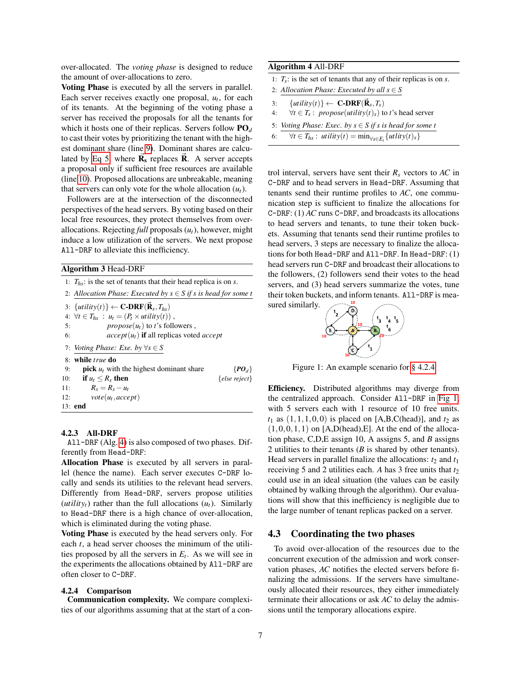over-allocated. The *voting phase* is designed to reduce the amount of over-allocations to zero.

Voting Phase is executed by all the servers in parallel. Each server receives exactly one proposal,  $u_t$ , for each of its tenants. At the beginning of the voting phase a server has received the proposals for all the tenants for which it hosts one of their replicas. Servers follow PO*<sup>d</sup>* to cast their votes by prioritizing the tenant with the highest dominant share (line [9\)](#page-4-15). Dominant shares are calcu-lated by [Eq 5,](#page-5-4) where  $\vec{R}_{s}$  replaces  $\vec{R}$ . A server accepts a proposal only if sufficient free resources are available (line [10\)](#page-4-16). Proposed allocations are unbreakable, meaning that servers can only vote for the whole allocation  $(u_t)$ .

Followers are at the intersection of the disconnected perspectives of the head servers. By voting based on their local free resources, they protect themselves from overallocations. Rejecting *full* proposals (*ut*), however, might induce a low utilization of the servers. We next propose All-DRF to alleviate this inefficiency.

### <span id="page-6-1"></span>Algorithm 3 Head-DRF

|     | 1: $T_{hs}$ : is the set of tenants that their head replica is on s.      |
|-----|---------------------------------------------------------------------------|
|     | 2: Allocation Phase: Executed by $s \in S$ if s is head for some t        |
|     | 3: $\{utility(t)\} \leftarrow \textbf{C-DRF}(\mathbf{\vec{R}}_s, T_{hs})$ |
|     | 4: $\forall t \in T_{hs} : u_t = (P_t \times utility(t))$ ,               |
| 5:  | $propose(u_t)$ to t's followers,                                          |
| 6:  | $accept(u_t)$ if all replicas voted <i>accept</i>                         |
|     | 7: Voting Phase: Exe. by $\forall s \in S$                                |
|     | 8: while <i>true</i> do                                                   |
| 9:  | <b>pick</b> $u_t$ with the highest dominant share<br>$\{P O_d\}$          |
| 10: | if $u_t \leq R_s$ then<br>$\{else reject\}$                               |
| 11: | $R_s = R_s - u_t$                                                         |
| 12: | $vote(u_t, accept)$                                                       |
|     | 13: <b>end</b>                                                            |

#### <span id="page-6-0"></span>4.2.3 All-DRF

All-DRF (Alg. [4\)](#page-6-2) is also composed of two phases. Differently from Head-DRF:

Allocation Phase is executed by all servers in parallel (hence the name). Each server executes C-DRF locally and sends its utilities to the relevant head servers. Differently from Head-DRF, servers propose utilities (*utility<sub>t</sub>*) rather than the full allocations  $(u_t)$ . Similarly to Head-DRF there is a high chance of over-allocation, which is eliminated during the voting phase.

Voting Phase is executed by the head servers only. For each *t*, a head server chooses the minimum of the utilities proposed by all the servers in  $E_t$ . As we will see in the experiments the allocations obtained by All-DRF are often closer to C-DRF.

#### <span id="page-6-3"></span>4.2.4 Comparison

Communication complexity. We compare complexities of our algorithms assuming that at the start of a con-

#### <span id="page-6-2"></span>Algorithm 4 All-DRF

- 1: *Ts*: is the set of tenants that any of their replicas is on *s*.
- 2: *Allocation Phase: Executed by all*  $s \in S$
- $\{utility(t)\} \leftarrow \textbf{C-DRF}(\mathbf{\vec{R}}_s, T_s)$
- 4:  $\forall t \in T_s: \text{ propose}(utility(t)_s) \text{ to } t \text{'s head server}$
- 5: *Voting Phase: Exec. by s* ∈ *S if s is head for some t*
- 6:  $\forall t \in T_{hs} : \text{utility}(t) = \min_{\forall s \in E_t} \{ \text{utility}(t)_s \}$

trol interval, servers have sent their  $R_s$  vectors to  $AC$  in C-DRF and to head servers in Head-DRF. Assuming that tenants send their runtime profiles to *AC*, one communication step is sufficient to finalize the allocations for C-DRF: (1) *AC* runs C-DRF, and broadcasts its allocations to head servers and tenants, to tune their token buckets. Assuming that tenants send their runtime profiles to head servers, 3 steps are necessary to finalize the allocations for both Head-DRF and All-DRF. In Head-DRF: (1) head servers run C-DRF and broadcast their allocations to the followers, (2) followers send their votes to the head servers, and (3) head servers summarize the votes, tune their token buckets, and inform tenants. All-DRF is measured similarly. **10**

<span id="page-6-4"></span>

Figure 1: An example scenario for [§ 4.2.4](#page-6-3)

Efficiency. Distributed algorithms may diverge from the centralized approach. Consider All-DRF in [Fig 1,](#page-6-4) with 5 servers each with 1 resource of 10 free units.  $t_1$  as  $(1,1,1,0,0)$  is placed on [A,B,C(head)], and  $t_2$  as  $(1,0,0,1,1)$  on [A,D(head), E]. At the end of the allocation phase, C,D,E assign 10, A assigns 5, and *B* assigns 2 utilities to their tenants (*B* is shared by other tenants). Head servers in parallel finalize the allocations:  $t_2$  and  $t_1$ receiving 5 and 2 utilities each. *A* has 3 free units that  $t_2$ could use in an ideal situation (the values can be easily obtained by walking through the algorithm). Our evaluations will show that this inefficiency is negligible due to the large number of tenant replicas packed on a server.

### 4.3 Coordinating the two phases

To avoid over-allocation of the resources due to the concurrent execution of the admission and work conservation phases, *AC* notifies the elected servers before finalizing the admissions. If the servers have simultaneously allocated their resources, they either immediately terminate their allocations or ask *AC* to delay the admissions until the temporary allocations expire.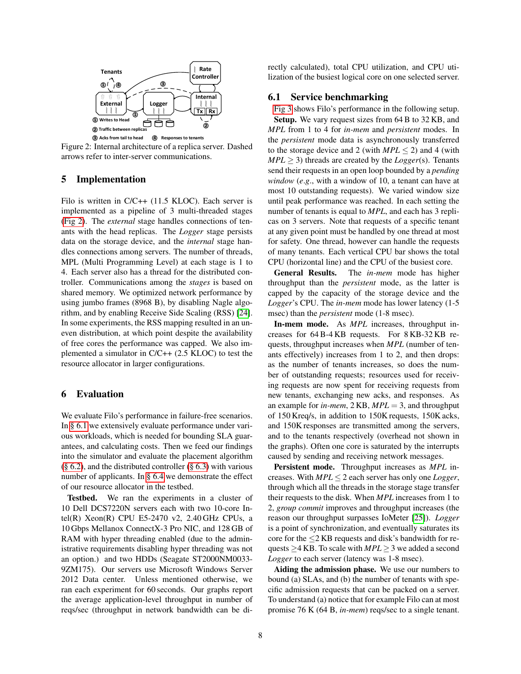<span id="page-7-1"></span>

Figure 2: Internal architecture of a replica server. Dashed arrows refer to inter-server communications.

### 5 Implementation

Filo is written in C/C++ (11.5 KLOC). Each server is implemented as a pipeline of 3 multi-threaded stages [\(Fig 2\)](#page-7-1). The *external* stage handles connections of tenants with the head replicas. The *Logger* stage persists data on the storage device, and the *internal* stage handles connections among servers. The number of threads, MPL (Multi Programming Level) at each stage is 1 to 4. Each server also has a thread for the distributed controller. Communications among the *stages* is based on shared memory. We optimized network performance by using jumbo frames (8968 B), by disabling Nagle algorithm, and by enabling Receive Side Scaling (RSS) [\[24\]](#page-11-12). In some experiments, the RSS mapping resulted in an uneven distribution, at which point despite the availability of free cores the performance was capped. We also implemented a simulator in C/C++ (2.5 KLOC) to test the resource allocator in larger configurations.

### <span id="page-7-0"></span>6 Evaluation

We evaluate Filo's performance in failure-free scenarios. In [§ 6.1](#page-7-2) we extensively evaluate performance under various workloads, which is needed for bounding SLA guarantees, and calculating costs. Then we feed our findings into the simulator and evaluate the placement algorithm  $(\S 6.2)$ , and the distributed controller  $(\S 6.3)$  with various number of applicants. In [§ 6.4](#page-9-1) we demonstrate the effect of our resource allocator in the testbed.

Testbed. We ran the experiments in a cluster of 10 Dell DCS7220N servers each with two 10-core Intel(R) Xeon(R) CPU E5-2470 v2, 2.40 GHz CPUs, a 10 Gbps Mellanox ConnectX-3 Pro NIC, and 128 GB of RAM with hyper threading enabled (due to the administrative requirements disabling hyper threading was not an option.) and two HDDs (Seagate ST2000NM0033- 9ZM175). Our servers use Microsoft Windows Server 2012 Data center. Unless mentioned otherwise, we ran each experiment for 60 seconds. Our graphs report the average application-level throughput in number of reqs/sec (throughput in network bandwidth can be directly calculated), total CPU utilization, and CPU utilization of the busiest logical core on one selected server.

## <span id="page-7-2"></span>6.1 Service benchmarking

[Fig 3](#page-8-1) shows Filo's performance in the following setup. Setup. We vary request sizes from 64 B to 32 KB, and *MPL* from 1 to 4 for *in-mem* and *persistent* modes. In the *persistent* mode data is asynchronously transferred to the storage device and 2 (with  $MPL \le 2$ ) and 4 (with  $MPL \geq 3$ ) threads are created by the *Logger*(s). Tenants send their requests in an open loop bounded by a *pending*

*window* (*e*.*g*., with a window of 10, a tenant can have at most 10 outstanding requests). We varied window size until peak performance was reached. In each setting the number of tenants is equal to *MPL*, and each has 3 replicas on 3 servers. Note that requests of a specific tenant at any given point must be handled by one thread at most for safety. One thread, however can handle the requests of many tenants. Each vertical CPU bar shows the total CPU (horizontal line) and the CPU of the busiest core.

General Results. The *in-mem* mode has higher throughput than the *persistent* mode, as the latter is capped by the capacity of the storage device and the *Logger*'s CPU. The *in-mem* mode has lower latency (1-5 msec) than the *persistent* mode (1-8 msec).

In-mem mode. As *MPL* increases, throughput increases for 64 B-4 KB requests. For 8 KB-32 KB requests, throughput increases when *MPL* (number of tenants effectively) increases from 1 to 2, and then drops: as the number of tenants increases, so does the number of outstanding requests; resources used for receiving requests are now spent for receiving requests from new tenants, exchanging new acks, and responses. As an example for *in-mem*, 2 KB, *MPL* = 3, and throughput of 150 Kreq/s, in addition to 150K requests, 150K acks, and 150K responses are transmitted among the servers, and to the tenants respectively (overhead not shown in the graphs). Often one core is saturated by the interrupts caused by sending and receiving network messages.

Persistent mode. Throughput increases as *MPL* increases. With  $MPL \leq 2$  each server has only one *Logger*, through which all the threads in the storage stage transfer their requests to the disk. When *MPL* increases from 1 to 2, *group commit* improves and throughput increases (the reason our throughput surpasses IoMeter [\[25\]](#page-11-13)). *Logger* is a point of synchronization, and eventually saturates its core for the  $\leq$ 2 KB requests and disk's bandwidth for requests  $\geq$  4 KB. To scale with *MPL*  $\geq$  3 we added a second *Logger* to each server (latency was 1-8 msec).

Aiding the admission phase. We use our numbers to bound (a) SLAs, and (b) the number of tenants with specific admission requests that can be packed on a server. To understand (a) notice that for example Filo can at most promise 76 K (64 B, *in-mem*) reqs/sec to a single tenant.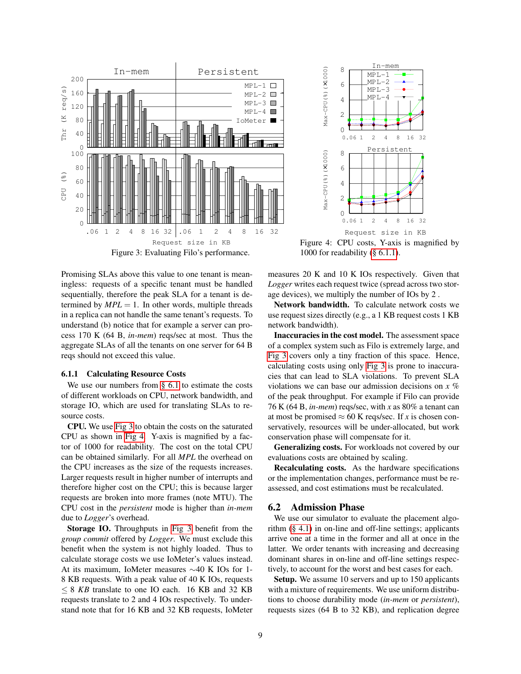<span id="page-8-1"></span>

 $0 \ \overline{0}$ <br> $0.061$ 2 4 6 8 0.06 1 2 4 8 16 32 In-mem Max-CPU(%) $\begin{matrix} 0 \ 0 \end{matrix}$ ×1000) MPL-1  $MPI-2$ MPL-3  $MPI - 4$ 0 2 4 6 8 0.06 1 2 4 8 16 32 Persistent Request size in KB Max-CPU(%) $\begin{matrix} 0 & 0 \ 0 & 0 \end{matrix}$ ×1000)

Figure 4: CPU costs, Y-axis is magnified by 1000 for readability [\(§ 6.1.1\)](#page-8-2).

Promising SLAs above this value to one tenant is meaningless: requests of a specific tenant must be handled sequentially, therefore the peak SLA for a tenant is determined by  $MPL = 1$ . In other words, multiple threads in a replica can not handle the same tenant's requests. To understand (b) notice that for example a server can process 170 K (64 B, *in-mem*) reqs/sec at most. Thus the aggregate SLAs of all the tenants on one server for 64 B reqs should not exceed this value.

#### <span id="page-8-2"></span>6.1.1 Calculating Resource Costs

We use our numbers from [§ 6.1](#page-7-2) to estimate the costs of different workloads on CPU, network bandwidth, and storage IO, which are used for translating SLAs to resource costs.

CPU. We use [Fig 3](#page-8-1) to obtain the costs on the saturated CPU as shown in [Fig 4.](#page-8-1) Y-axis is magnified by a factor of 1000 for readability. The cost on the total CPU can be obtained similarly. For all *MPL* the overhead on the CPU increases as the size of the requests increases. Larger requests result in higher number of interrupts and therefore higher cost on the CPU; this is because larger requests are broken into more frames (note MTU). The CPU cost in the *persistent* mode is higher than *in-mem* due to *Logger*'s overhead.

Storage IO. Throughputs in [Fig 3](#page-8-1) benefit from the *group commit* offered by *Logger*. We must exclude this benefit when the system is not highly loaded. Thus to calculate storage costs we use IoMeter's values instead. At its maximum, IoMeter measures ∼40 K IOs for 1- 8 KB requests. With a peak value of 40 K IOs, requests  $\leq$  8 *KB* translate to one IO each. 16 KB and 32 KB requests translate to 2 and 4 IOs respectively. To understand note that for 16 KB and 32 KB requests, IoMeter measures 20 K and 10 K IOs respectively. Given that *Logger* writes each request twice (spread across two storage devices), we multiply the number of IOs by 2 .

Network bandwidth. To calculate network costs we use request sizes directly (e.g., a 1 KB request costs 1 KB network bandwidth).

Inaccuracies in the cost model. The assessment space of a complex system such as Filo is extremely large, and [Fig 3](#page-8-1) covers only a tiny fraction of this space. Hence, calculating costs using only [Fig 3](#page-8-1) is prone to inaccuracies that can lead to SLA violations. To prevent SLA violations we can base our admission decisions on *x* % of the peak throughput. For example if Filo can provide 76 K (64 B, *in-mem*) reqs/sec, with *x* as 80% a tenant can at most be promised  $\approx 60$  K reqs/sec. If *x* is chosen conservatively, resources will be under-allocated, but work conservation phase will compensate for it.

Generalizing costs. For workloads not covered by our evaluations costs are obtained by scaling.

Recalculating costs. As the hardware specifications or the implementation changes, performance must be reassessed, and cost estimations must be recalculated.

### <span id="page-8-0"></span>6.2 Admission Phase

We use our simulator to evaluate the placement algorithm [\(§ 4.1\)](#page-3-0) in on-line and off-line settings; applicants arrive one at a time in the former and all at once in the latter. We order tenants with increasing and decreasing dominant shares in on-line and off-line settings respectively, to account for the worst and best cases for each.

Setup. We assume 10 servers and up to 150 applicants with a mixture of requirements. We use uniform distributions to choose durability mode (*in-mem* or *persistent*), requests sizes (64 B to 32 KB), and replication degree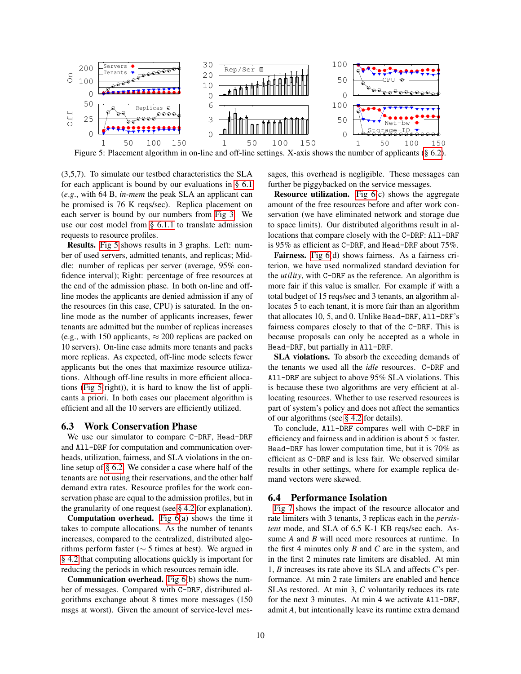<span id="page-9-2"></span>

Figure 5: Placement algorithm in on-line and off-line settings. X-axis shows the number of applicants [\(§ 6.2\)](#page-8-0).

(3,5,7). To simulate our testbed characteristics the SLA for each applicant is bound by our evaluations in  $\S$  6.1 (*e*.*g*., with 64 B, *in-mem* the peak SLA an applicant can be promised is 76 K reqs/sec). Replica placement on each server is bound by our numbers from [Fig 3.](#page-8-1) We use our cost model from [§ 6.1.1](#page-8-2) to translate admission requests to resource profiles.

Results. [Fig 5](#page-9-2) shows results in 3 graphs. Left: number of used servers, admitted tenants, and replicas; Middle: number of replicas per server (average, 95% confidence interval); Right: percentage of free resources at the end of the admission phase. In both on-line and offline modes the applicants are denied admission if any of the resources (in this case, CPU) is saturated. In the online mode as the number of applicants increases, fewer tenants are admitted but the number of replicas increases (e.g., with 150 applicants,  $\approx$  200 replicas are packed on 10 servers). On-line case admits more tenants and packs more replicas. As expected, off-line mode selects fewer applicants but the ones that maximize resource utilizations. Although off-line results in more efficient allocations [\(Fig 5\(](#page-9-2)right)), it is hard to know the list of applicants a priori. In both cases our placement algorithm is efficient and all the 10 servers are efficiently utilized.

### <span id="page-9-0"></span>6.3 Work Conservation Phase

We use our simulator to compare C-DRF, Head-DRF and All-DRF for computation and communication overheads, utilization, fairness, and SLA violations in the online setup of [§ 6.2.](#page-8-0) We consider a case where half of the tenants are not using their reservations, and the other half demand extra rates. Resource profiles for the work conservation phase are equal to the admission profiles, but in the granularity of one request (see [§ 4.2](#page-4-0) for explanation).

Computation overhead. [Fig 6\(](#page-10-1)a) shows the time it takes to compute allocations. As the number of tenants increases, compared to the centralized, distributed algorithms perform faster ( $\sim$  5 times at best). We argued in [§ 4.2](#page-4-0) that computing allocations quickly is important for reducing the periods in which resources remain idle.

Communication overhead. [Fig 6\(](#page-10-1)b) shows the number of messages. Compared with C-DRF, distributed algorithms exchange about 8 times more messages (150 msgs at worst). Given the amount of service-level messages, this overhead is negligible. These messages can further be piggybacked on the service messages.

**Resource utilization.** Fig  $6(c)$  shows the aggregate amount of the free resources before and after work conservation (we have eliminated network and storage due to space limits). Our distributed algorithms result in allocations that compare closely with the C-DRF: All-DRF is 95% as efficient as C-DRF, and Head-DRF about 75%.

Fairness. [Fig 6\(](#page-10-1)d) shows fairness. As a fairness criterion, we have used normalized standard deviation for the *utility*, with C-DRF as the reference. An algorithm is more fair if this value is smaller. For example if with a total budget of 15 reqs/sec and 3 tenants, an algorithm allocates 5 to each tenant, it is more fair than an algorithm that allocates 10, 5, and 0. Unlike Head-DRF, All-DRF's fairness compares closely to that of the C-DRF. This is because proposals can only be accepted as a whole in Head-DRF, but partially in All-DRF.

SLA violations. To absorb the exceeding demands of the tenants we used all the *idle* resources. C-DRF and All-DRF are subject to above 95% SLA violations. This is because these two algorithms are very efficient at allocating resources. Whether to use reserved resources is part of system's policy and does not affect the semantics of our algorithms (see [§ 4.2](#page-4-0) for details).

To conclude, All-DRF compares well with C-DRF in efficiency and fairness and in addition is about  $5 \times$  faster. Head-DRF has lower computation time, but it is 70% as efficient as C-DRF and is less fair. We observed similar results in other settings, where for example replica demand vectors were skewed.

### <span id="page-9-1"></span>6.4 Performance Isolation

[Fig 7](#page-10-2) shows the impact of the resource allocator and rate limiters with 3 tenants, 3 replicas each in the *persistent* mode, and SLA of 6.5 K-1 KB reqs/sec each. Assume *A* and *B* will need more resources at runtime. In the first 4 minutes only *B* and *C* are in the system, and in the first 2 minutes rate limiters are disabled. At min 1, *B* increases its rate above its SLA and affects *C*'s performance. At min 2 rate limiters are enabled and hence SLAs restored. At min 3, *C* voluntarily reduces its rate for the next 3 minutes. At min 4 we activate All-DRF, admit *A*, but intentionally leave its runtime extra demand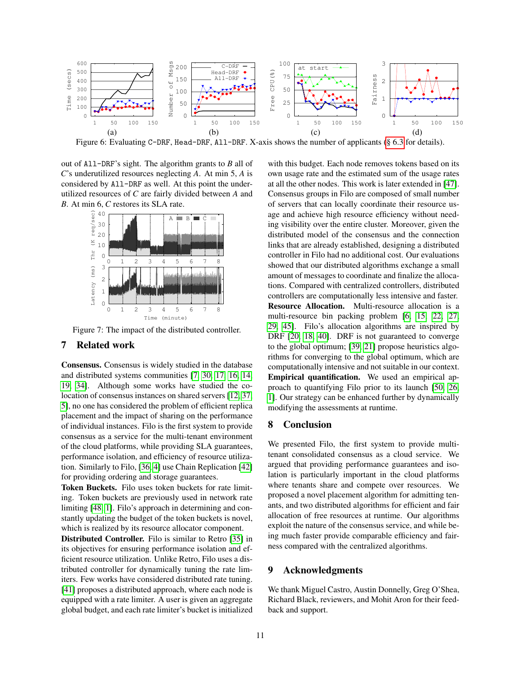<span id="page-10-1"></span>

Figure 6: Evaluating C-DRF, Head-DRF, All-DRF. X-axis shows the number of applicants [\(§ 6.3](#page-9-0) for details).

out of All-DRF's sight. The algorithm grants to *B* all of *C*'s underutilized resources neglecting *A*. At min 5, *A* is considered by All-DRF as well. At this point the underutilized resources of *C* are fairly divided between *A* and *B*. At min 6, *C* restores its SLA rate.

<span id="page-10-2"></span>

Figure 7: The impact of the distributed controller.

### <span id="page-10-0"></span>7 Related work

Consensus. Consensus is widely studied in the database and distributed systems communities [\[7,](#page-11-3) [30,](#page-12-4) [17,](#page-11-14) [16,](#page-11-15) [14,](#page-11-16) [19,](#page-11-17) [34\]](#page-12-13). Although some works have studied the co-location of consensus instances on shared servers [\[12,](#page-11-18) [37,](#page-12-14) [5\]](#page-11-19), no one has considered the problem of efficient replica placement and the impact of sharing on the performance of individual instances. Filo is the first system to provide consensus as a service for the multi-tenant environment of the cloud platforms, while providing SLA guarantees, performance isolation, and efficiency of resource utilization. Similarly to Filo, [\[36,](#page-12-15) [4\]](#page-11-20) use Chain Replication [\[42\]](#page-12-9) for providing ordering and storage guarantees.

Token Buckets. Filo uses token buckets for rate limiting. Token buckets are previously used in network rate limiting [\[48,](#page-12-16) [1\]](#page-11-8). Filo's approach in determining and constantly updating the budget of the token buckets is novel, which is realized by its resource allocator component.

Distributed Controller. Filo is similar to Retro [\[35\]](#page-12-17) in its objectives for ensuring performance isolation and efficient resource utilization. Unlike Retro, Filo uses a distributed controller for dynamically tuning the rate limiters. Few works have considered distributed rate tuning. [\[41\]](#page-12-18) proposes a distributed approach, where each node is equipped with a rate limiter. A user is given an aggregate global budget, and each rate limiter's bucket is initialized with this budget. Each node removes tokens based on its own usage rate and the estimated sum of the usage rates at all the other nodes. This work is later extended in [\[47\]](#page-12-19). Consensus groups in Filo are composed of small number of servers that can locally coordinate their resource usage and achieve high resource efficiency without needing visibility over the entire cluster. Moreover, given the distributed model of the consensus and the connection links that are already established, designing a distributed controller in Filo had no additional cost. Our evaluations showed that our distributed algorithms exchange a small amount of messages to coordinate and finalize the allocations. Compared with centralized controllers, distributed controllers are computationally less intensive and faster. Resource Allocation. Multi-resource allocation is a multi-resource bin packing problem [\[6,](#page-11-21) [15,](#page-11-22) [22,](#page-11-23) [27,](#page-12-20) [29,](#page-12-21) [45\]](#page-12-22). Filo's allocation algorithms are inspired by DRF [\[20,](#page-11-10) [18,](#page-11-11) [40\]](#page-12-23). DRF is not guaranteed to converge to the global optimum; [\[39,](#page-12-24) [21\]](#page-11-24) propose heuristics algorithms for converging to the global optimum, which are computationally intensive and not suitable in our context. Empirical quantification. We used an empirical approach to quantifying Filo prior to its launch [\[50,](#page-12-25) [26,](#page-12-6) [1\]](#page-11-8). Our strategy can be enhanced further by dynamically modifying the assessments at runtime.

### 8 Conclusion

We presented Filo, the first system to provide multitenant consolidated consensus as a cloud service. We argued that providing performance guarantees and isolation is particularly important in the cloud platforms where tenants share and compete over resources. We proposed a novel placement algorithm for admitting tenants, and two distributed algorithms for efficient and fair allocation of free resources at runtime. Our algorithms exploit the nature of the consensus service, and while being much faster provide comparable efficiency and fairness compared with the centralized algorithms.

## 9 Acknowledgments

We thank Miguel Castro, Austin Donnelly, Greg O'Shea, Richard Black, reviewers, and Mohit Aron for their feedback and support.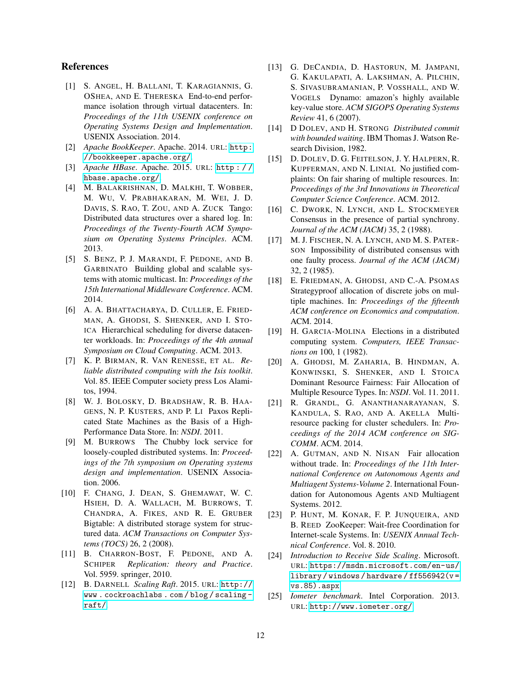# References

- <span id="page-11-8"></span>[1] S. ANGEL, H. BALLANI, T. KARAGIANNIS, G. OSHEA, AND E. THERESKA End-to-end performance isolation through virtual datacenters. In: *Proceedings of the 11th USENIX conference on Operating Systems Design and Implementation*. USENIX Association. 2014.
- <span id="page-11-9"></span>[2] *Apache BookKeeper*. Apache. 2014. URL: [http:](http://bookkeeper.apache.org/) [//bookkeeper.apache.org/](http://bookkeeper.apache.org/).
- <span id="page-11-7"></span>[3] *Apache HBase*. Apache. 2015. URL: [http : / /](http://hbase.apache.org/) [hbase.apache.org/](http://hbase.apache.org/).
- <span id="page-11-20"></span>[4] M. BALAKRISHNAN, D. MALKHI, T. WOBBER, M. WU, V. PRABHAKARAN, M. WEI, J. D. DAVIS, S. RAO, T. ZOU, AND A. ZUCK Tango: Distributed data structures over a shared log. In: *Proceedings of the Twenty-Fourth ACM Symposium on Operating Systems Principles*. ACM. 2013.
- <span id="page-11-19"></span>[5] S. BENZ, P. J. MARANDI, F. PEDONE, AND B. GARBINATO Building global and scalable systems with atomic multicast. In: *Proceedings of the 15th International Middleware Conference*. ACM. 2014.
- <span id="page-11-21"></span>[6] A. A. BHATTACHARYA, D. CULLER, E. FRIED-MAN, A. GHODSI, S. SHENKER, AND I. STO-ICA Hierarchical scheduling for diverse datacenter workloads. In: *Proceedings of the 4th annual Symposium on Cloud Computing*. ACM. 2013.
- <span id="page-11-3"></span>[7] K. P. BIRMAN, R. VAN RENESSE, ET AL. *Reliable distributed computing with the Isis toolkit*. Vol. 85. IEEE Computer society press Los Alamitos, 1994.
- <span id="page-11-2"></span>[8] W. J. BOLOSKY, D. BRADSHAW, R. B. HAA-GENS, N. P. KUSTERS, AND P. LI Paxos Replicated State Machines as the Basis of a High-Performance Data Store. In: *NSDI*. 2011.
- <span id="page-11-1"></span>[9] M. BURROWS The Chubby lock service for loosely-coupled distributed systems. In: *Proceedings of the 7th symposium on Operating systems design and implementation*. USENIX Association. 2006.
- <span id="page-11-6"></span>[10] F. CHANG, J. DEAN, S. GHEMAWAT, W. C. HSIEH, D. A. WALLACH, M. BURROWS, T. CHANDRA, A. FIKES, AND R. E. GRUBER Bigtable: A distributed storage system for structured data. *ACM Transactions on Computer Systems (TOCS)* 26, 2 (2008).
- <span id="page-11-0"></span>[11] B. CHARRON-BOST, F. PEDONE, AND A. SCHIPER *Replication: theory and Practice*. Vol. 5959. springer, 2010.
- <span id="page-11-18"></span>[12] B. DARNELL *Scaling Raft*. 2015. URL: [http://](http://www.cockroachlabs.com/blog/scaling-raft/) [www . cockroachlabs . com / blog / scaling](http://www.cockroachlabs.com/blog/scaling-raft/)  [raft/](http://www.cockroachlabs.com/blog/scaling-raft/).
- <span id="page-11-5"></span>[13] G. DECANDIA, D. HASTORUN, M. JAMPANI, G. KAKULAPATI, A. LAKSHMAN, A. PILCHIN, S. SIVASUBRAMANIAN, P. VOSSHALL, AND W. VOGELS Dynamo: amazon's highly available key-value store. *ACM SIGOPS Operating Systems Review* 41, 6 (2007).
- <span id="page-11-16"></span>[14] D DOLEV, AND H. STRONG *Distributed commit with bounded waiting*. IBM Thomas J. Watson Research Division, 1982.
- <span id="page-11-22"></span>[15] D. DOLEV, D. G. FEITELSON, J. Y. HALPERN, R. KUPFERMAN, AND N. LINIAL No justified complaints: On fair sharing of multiple resources. In: *Proceedings of the 3rd Innovations in Theoretical Computer Science Conference*. ACM. 2012.
- <span id="page-11-15"></span>[16] C. DWORK, N. LYNCH, AND L. STOCKMEYER Consensus in the presence of partial synchrony. *Journal of the ACM (JACM)* 35, 2 (1988).
- <span id="page-11-14"></span>[17] M. J. FISCHER, N. A. LYNCH, AND M. S. PATER-SON Impossibility of distributed consensus with one faulty process. *Journal of the ACM (JACM)* 32, 2 (1985).
- <span id="page-11-11"></span>[18] E. FRIEDMAN, A. GHODSI, AND C.-A. PSOMAS Strategyproof allocation of discrete jobs on multiple machines. In: *Proceedings of the fifteenth ACM conference on Economics and computation*. ACM. 2014.
- <span id="page-11-17"></span>[19] H. GARCIA-MOLINA Elections in a distributed computing system. *Computers, IEEE Transactions on* 100, 1 (1982).
- <span id="page-11-10"></span>[20] A. GHODSI, M. ZAHARIA, B. HINDMAN, A. KONWINSKI, S. SHENKER, AND I. STOICA Dominant Resource Fairness: Fair Allocation of Multiple Resource Types. In: *NSDI*. Vol. 11. 2011.
- <span id="page-11-24"></span>[21] R. GRANDL, G. ANANTHANARAYANAN, S. KANDULA, S. RAO, AND A. AKELLA Multiresource packing for cluster schedulers. In: *Proceedings of the 2014 ACM conference on SIG-COMM*. ACM. 2014.
- <span id="page-11-23"></span>[22] A. GUTMAN, AND N. NISAN Fair allocation without trade. In: *Proceedings of the 11th International Conference on Autonomous Agents and Multiagent Systems-Volume 2*. International Foundation for Autonomous Agents AND Multiagent Systems. 2012.
- <span id="page-11-4"></span>[23] P. HUNT, M. KONAR, F. P. JUNQUEIRA, AND B. REED ZooKeeper: Wait-free Coordination for Internet-scale Systems. In: *USENIX Annual Technical Conference*. Vol. 8. 2010.
- <span id="page-11-12"></span>[24] *Introduction to Receive Side Scaling*. Microsoft. URL: [https://msdn.microsoft.com/en-us/](https://msdn.microsoft.com/en-us/library/windows/hardware/ff556942(v=vs.85).aspx) [library / windows / hardware / ff556942\(v =](https://msdn.microsoft.com/en-us/library/windows/hardware/ff556942(v=vs.85).aspx) [vs.85\).aspx](https://msdn.microsoft.com/en-us/library/windows/hardware/ff556942(v=vs.85).aspx).
- <span id="page-11-13"></span>[25] *Iometer benchmark*. Intel Corporation. 2013. URL: <http://www.iometer.org/>.